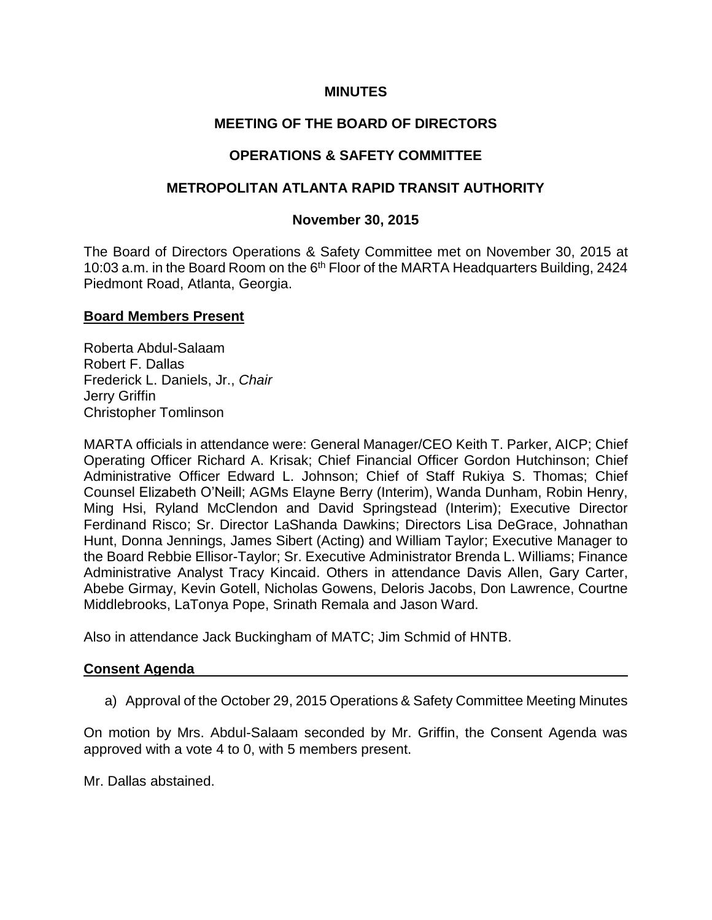### **MINUTES**

# **MEETING OF THE BOARD OF DIRECTORS**

### **OPERATIONS & SAFETY COMMITTEE**

### **METROPOLITAN ATLANTA RAPID TRANSIT AUTHORITY**

### **November 30, 2015**

The Board of Directors Operations & Safety Committee met on November 30, 2015 at 10:03 a.m. in the Board Room on the 6<sup>th</sup> Floor of the MARTA Headquarters Building, 2424 Piedmont Road, Atlanta, Georgia.

#### **Board Members Present**

Roberta Abdul-Salaam Robert F. Dallas Frederick L. Daniels, Jr., *Chair* Jerry Griffin Christopher Tomlinson

MARTA officials in attendance were: General Manager/CEO Keith T. Parker, AICP; Chief Operating Officer Richard A. Krisak; Chief Financial Officer Gordon Hutchinson; Chief Administrative Officer Edward L. Johnson; Chief of Staff Rukiya S. Thomas; Chief Counsel Elizabeth O'Neill; AGMs Elayne Berry (Interim), Wanda Dunham, Robin Henry, Ming Hsi, Ryland McClendon and David Springstead (Interim); Executive Director Ferdinand Risco; Sr. Director LaShanda Dawkins; Directors Lisa DeGrace, Johnathan Hunt, Donna Jennings, James Sibert (Acting) and William Taylor; Executive Manager to the Board Rebbie Ellisor-Taylor; Sr. Executive Administrator Brenda L. Williams; Finance Administrative Analyst Tracy Kincaid. Others in attendance Davis Allen, Gary Carter, Abebe Girmay, Kevin Gotell, Nicholas Gowens, Deloris Jacobs, Don Lawrence, Courtne Middlebrooks, LaTonya Pope, Srinath Remala and Jason Ward.

Also in attendance Jack Buckingham of MATC; Jim Schmid of HNTB.

#### **Consent Agenda**

a) Approval of the October 29, 2015 Operations & Safety Committee Meeting Minutes

On motion by Mrs. Abdul-Salaam seconded by Mr. Griffin, the Consent Agenda was approved with a vote 4 to 0, with 5 members present.

Mr. Dallas abstained.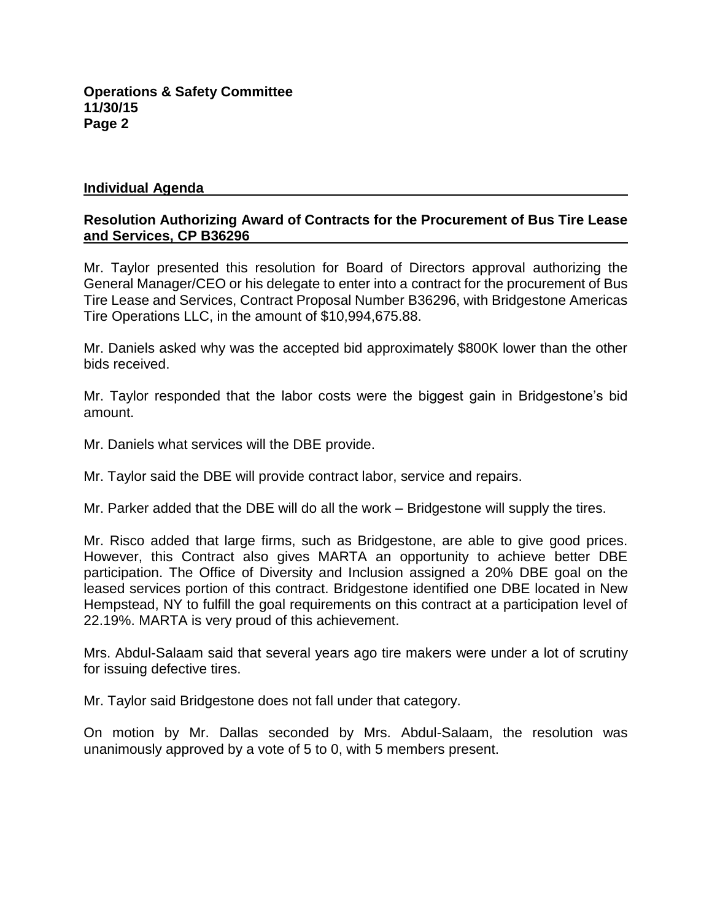#### **Individual Agenda**

### **Resolution Authorizing Award of Contracts for the Procurement of Bus Tire Lease and Services, CP B36296**

Mr. Taylor presented this resolution for Board of Directors approval authorizing the General Manager/CEO or his delegate to enter into a contract for the procurement of Bus Tire Lease and Services, Contract Proposal Number B36296, with Bridgestone Americas Tire Operations LLC, in the amount of \$10,994,675.88.

Mr. Daniels asked why was the accepted bid approximately \$800K lower than the other bids received.

Mr. Taylor responded that the labor costs were the biggest gain in Bridgestone's bid amount.

Mr. Daniels what services will the DBE provide.

Mr. Taylor said the DBE will provide contract labor, service and repairs.

Mr. Parker added that the DBE will do all the work – Bridgestone will supply the tires.

Mr. Risco added that large firms, such as Bridgestone, are able to give good prices. However, this Contract also gives MARTA an opportunity to achieve better DBE participation. The Office of Diversity and Inclusion assigned a 20% DBE goal on the leased services portion of this contract. Bridgestone identified one DBE located in New Hempstead, NY to fulfill the goal requirements on this contract at a participation level of 22.19%. MARTA is very proud of this achievement.

Mrs. Abdul-Salaam said that several years ago tire makers were under a lot of scrutiny for issuing defective tires.

Mr. Taylor said Bridgestone does not fall under that category.

On motion by Mr. Dallas seconded by Mrs. Abdul-Salaam, the resolution was unanimously approved by a vote of 5 to 0, with 5 members present.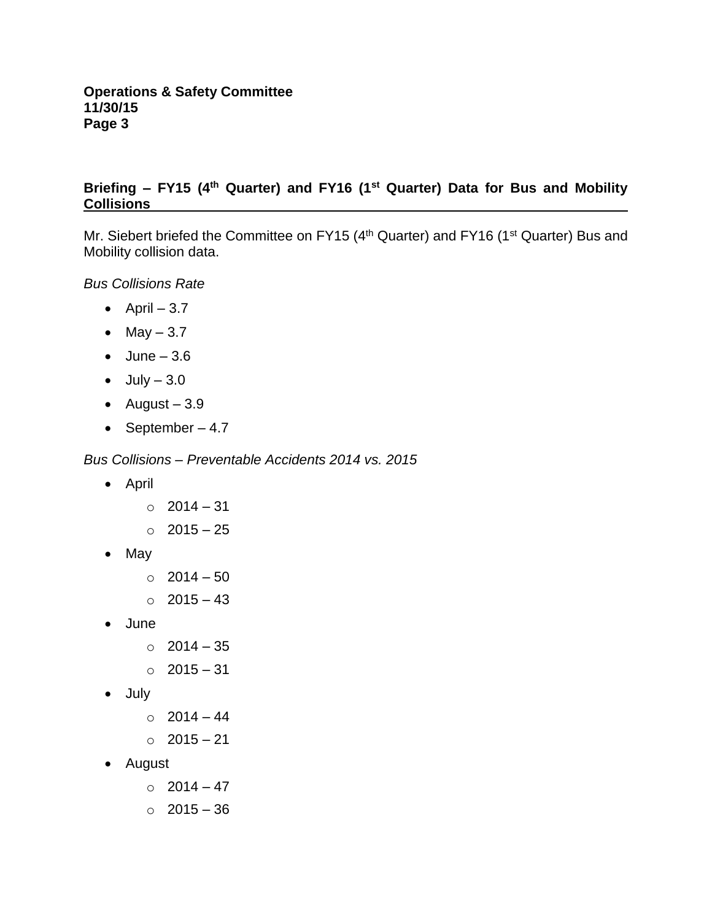# **Briefing – FY15 (4th Quarter) and FY16 (1st Quarter) Data for Bus and Mobility Collisions**

Mr. Siebert briefed the Committee on FY15 (4<sup>th</sup> Quarter) and FY16 (1<sup>st</sup> Quarter) Bus and Mobility collision data.

*Bus Collisions Rate* 

- $\bullet$  April  $-3.7$
- $-May 3.7$
- $\bullet$  June  $-3.6$
- $\bullet$  July  $-3.0$
- $\bullet$  August 3.9
- September  $-4.7$

*Bus Collisions – Preventable Accidents 2014 vs. 2015* 

- April
	- o 2014 31
	- o 2015 25
- May
	- $\circ$  2014 50
	- $\circ$  2015 43
- June
	- $\circ$  2014 35
	- o 2015 31
- July
	- $\circ$  2014 44
	- o 2015 21
- August
	- $\circ$  2014 47
	- o 2015 36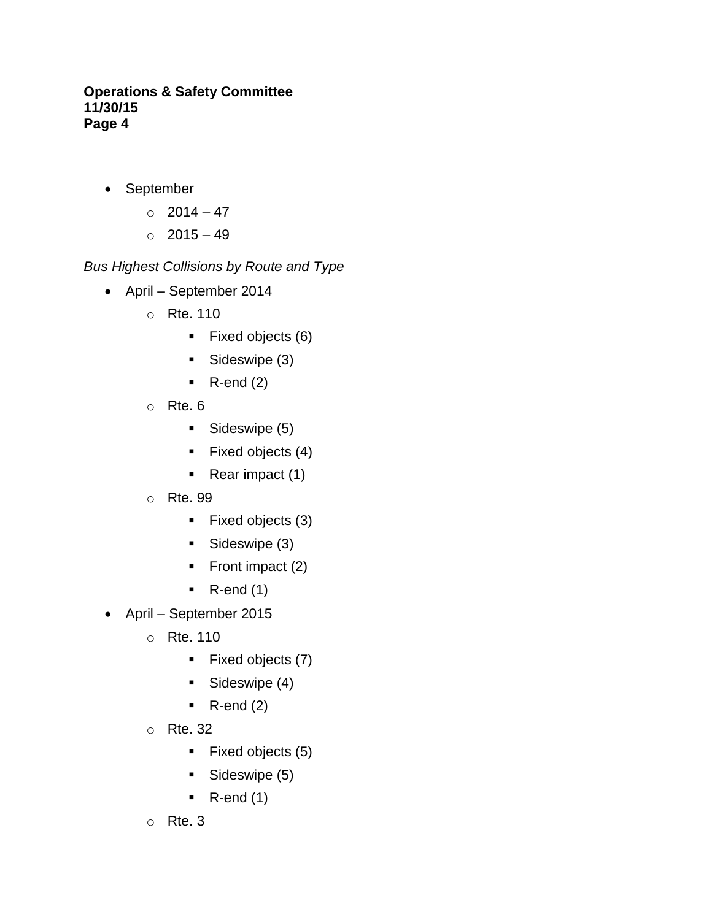- September
	- $\circ$  2014 47
	- $\circ$  2015 49

*Bus Highest Collisions by Route and Type*

- April September 2014
	- o Rte. 110
		- $\blacksquare$  Fixed objects (6)
		- Sideswipe (3)
		- $\blacksquare$  R-end (2)
	- $\circ$  Rte. 6
		- Sideswipe (5)
		- $\blacksquare$  Fixed objects (4)
		- $\blacksquare$  Rear impact (1)
	- o Rte. 99
		- Fixed objects (3)
		- Sideswipe (3)
		- Front impact  $(2)$
		- $\blacksquare$  R-end (1)
- April September 2015
	- o Rte. 110
		- $\blacksquare$  Fixed objects (7)
		- Sideswipe (4)
		- $\blacksquare$  R-end (2)
	- o Rte. 32
		- $\blacksquare$  Fixed objects (5)
		- Sideswipe (5)
		- $\blacksquare$  R-end (1)
	- o Rte. 3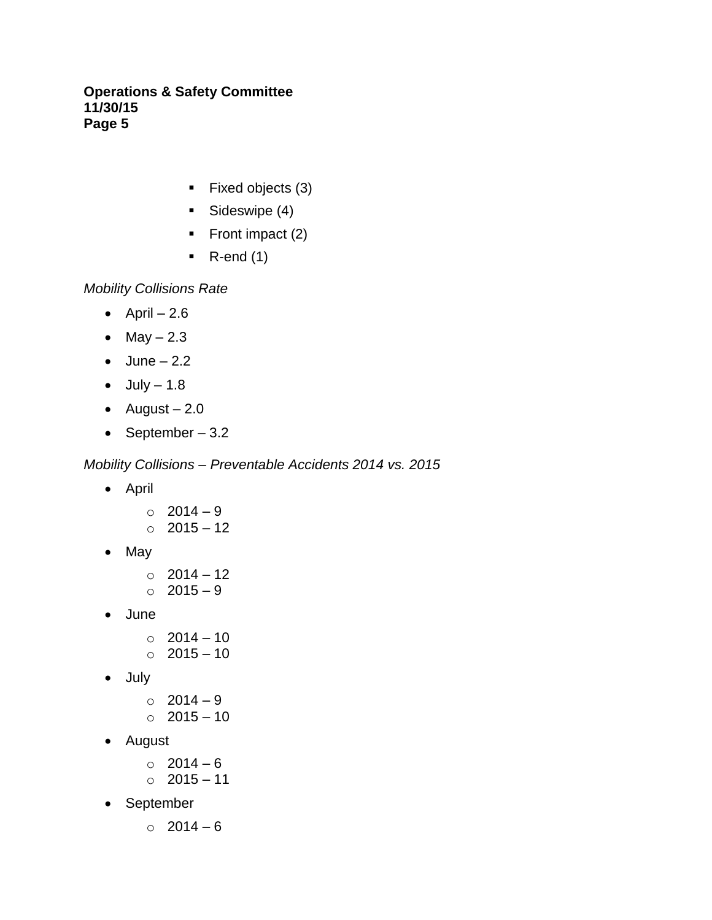- $\blacksquare$  Fixed objects (3)
- **Sideswipe (4)**
- Front impact  $(2)$
- $\blacksquare$  R-end (1)

*Mobility Collisions Rate*

- $\bullet$  April  $-2.6$
- $-May 2.3$
- $\bullet$  June 2.2
- $\bullet$  July  $-1.8$
- $\bullet$  August 2.0
- September  $-3.2$

*Mobility Collisions – Preventable Accidents 2014 vs. 2015* 

- April
	- o 2014 9
	- $\circ$  2015 12
- $\bullet$  May
	- o 2014 12  $\circ$  2015 – 9
- June
	- o 2014 10
	- o 2015 10
- July
	- o 2014 9  $\circ$  2015 – 10
- August
	- $\circ$  2014 6
	- o 2015 11
- September
	- $\circ$  2014 6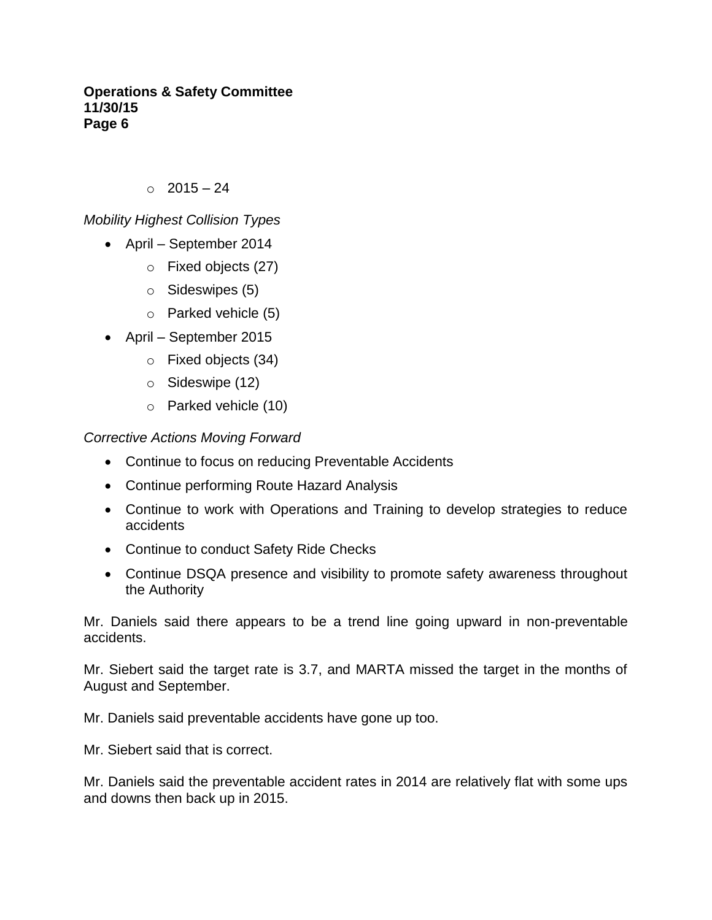$\degree$  2015 – 24

# *Mobility Highest Collision Types*

- April September 2014
	- o Fixed objects (27)
	- o Sideswipes (5)
	- o Parked vehicle (5)
- April September 2015
	- o Fixed objects (34)
	- o Sideswipe (12)
	- o Parked vehicle (10)

*Corrective Actions Moving Forward*

- Continue to focus on reducing Preventable Accidents
- Continue performing Route Hazard Analysis
- Continue to work with Operations and Training to develop strategies to reduce accidents
- Continue to conduct Safety Ride Checks
- Continue DSQA presence and visibility to promote safety awareness throughout the Authority

Mr. Daniels said there appears to be a trend line going upward in non-preventable accidents.

Mr. Siebert said the target rate is 3.7, and MARTA missed the target in the months of August and September.

Mr. Daniels said preventable accidents have gone up too.

Mr. Siebert said that is correct.

Mr. Daniels said the preventable accident rates in 2014 are relatively flat with some ups and downs then back up in 2015.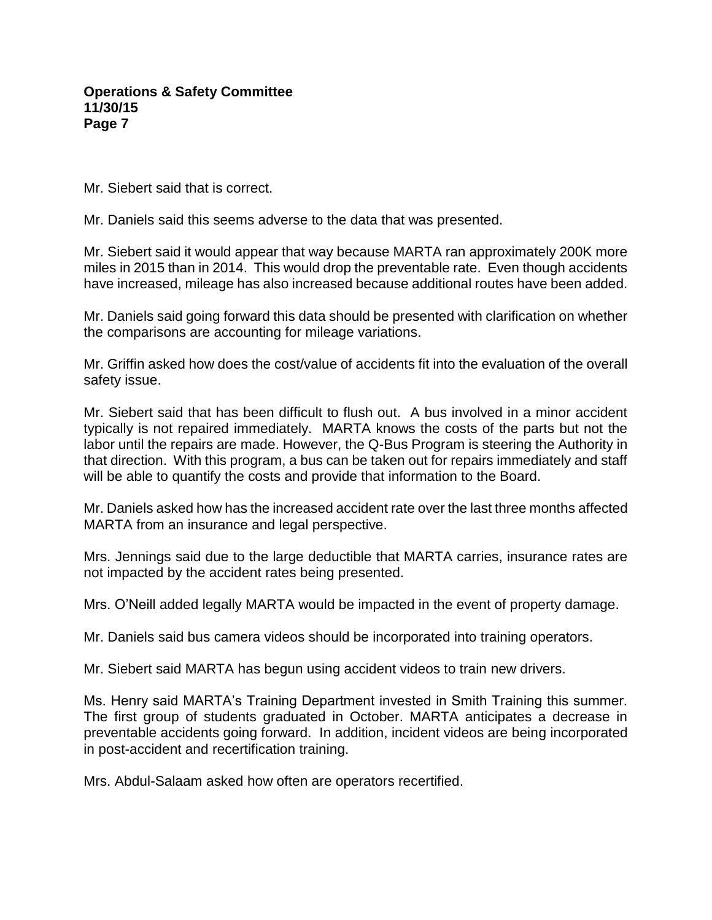Mr. Siebert said that is correct.

Mr. Daniels said this seems adverse to the data that was presented.

Mr. Siebert said it would appear that way because MARTA ran approximately 200K more miles in 2015 than in 2014. This would drop the preventable rate. Even though accidents have increased, mileage has also increased because additional routes have been added.

Mr. Daniels said going forward this data should be presented with clarification on whether the comparisons are accounting for mileage variations.

Mr. Griffin asked how does the cost/value of accidents fit into the evaluation of the overall safety issue.

Mr. Siebert said that has been difficult to flush out. A bus involved in a minor accident typically is not repaired immediately. MARTA knows the costs of the parts but not the labor until the repairs are made. However, the Q-Bus Program is steering the Authority in that direction. With this program, a bus can be taken out for repairs immediately and staff will be able to quantify the costs and provide that information to the Board.

Mr. Daniels asked how has the increased accident rate over the last three months affected MARTA from an insurance and legal perspective.

Mrs. Jennings said due to the large deductible that MARTA carries, insurance rates are not impacted by the accident rates being presented.

Mrs. O'Neill added legally MARTA would be impacted in the event of property damage.

Mr. Daniels said bus camera videos should be incorporated into training operators.

Mr. Siebert said MARTA has begun using accident videos to train new drivers.

Ms. Henry said MARTA's Training Department invested in Smith Training this summer. The first group of students graduated in October. MARTA anticipates a decrease in preventable accidents going forward. In addition, incident videos are being incorporated in post-accident and recertification training.

Mrs. Abdul-Salaam asked how often are operators recertified.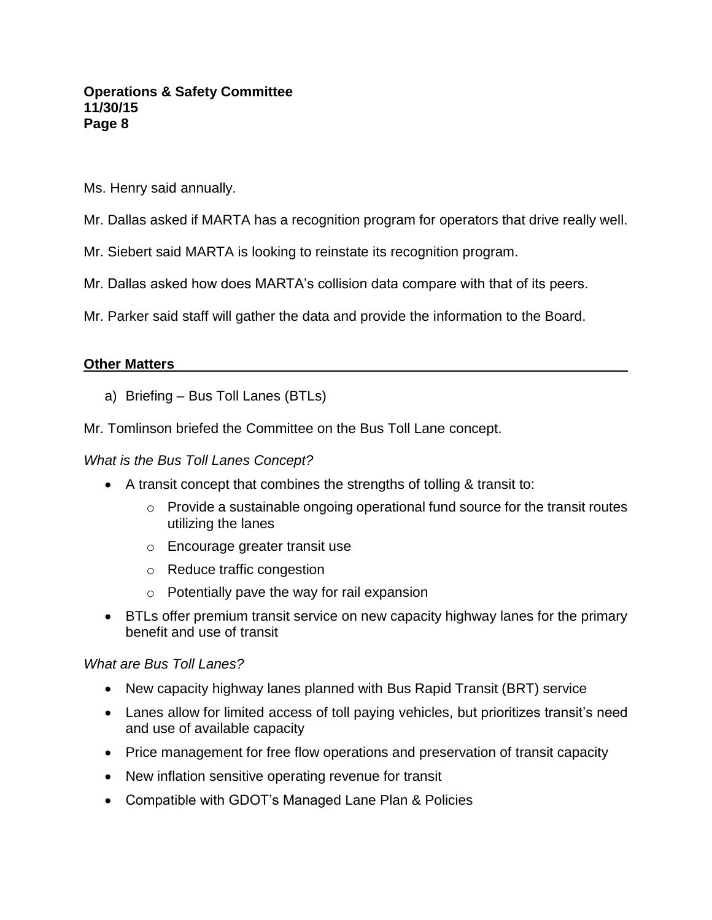- Ms. Henry said annually.
- Mr. Dallas asked if MARTA has a recognition program for operators that drive really well.
- Mr. Siebert said MARTA is looking to reinstate its recognition program.
- Mr. Dallas asked how does MARTA's collision data compare with that of its peers.
- Mr. Parker said staff will gather the data and provide the information to the Board.

#### **Other Matters**

- a) Briefing Bus Toll Lanes (BTLs)
- Mr. Tomlinson briefed the Committee on the Bus Toll Lane concept.

#### *What is the Bus Toll Lanes Concept?*

- A transit concept that combines the strengths of tolling & transit to:
	- o Provide a sustainable ongoing operational fund source for the transit routes utilizing the lanes
	- o Encourage greater transit use
	- o Reduce traffic congestion
	- o Potentially pave the way for rail expansion
- BTLs offer premium transit service on new capacity highway lanes for the primary benefit and use of transit

#### *What are Bus Toll Lanes?*

- New capacity highway lanes planned with Bus Rapid Transit (BRT) service
- Lanes allow for limited access of toll paying vehicles, but prioritizes transit's need and use of available capacity
- Price management for free flow operations and preservation of transit capacity
- New inflation sensitive operating revenue for transit
- Compatible with GDOT's Managed Lane Plan & Policies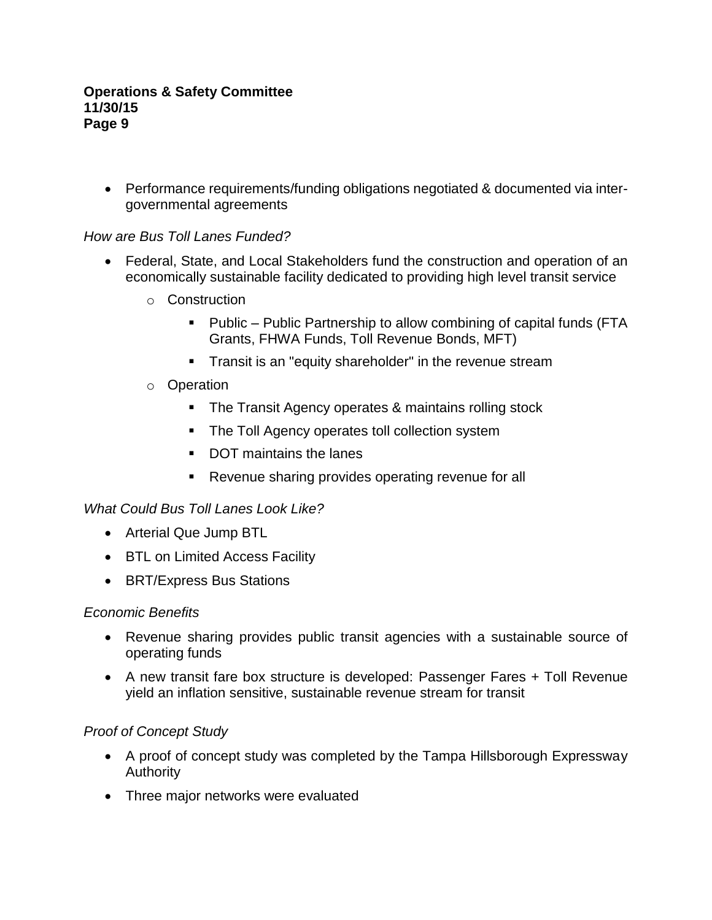Performance requirements/funding obligations negotiated & documented via intergovernmental agreements

# *How are Bus Toll Lanes Funded?*

- Federal, State, and Local Stakeholders fund the construction and operation of an economically sustainable facility dedicated to providing high level transit service
	- o Construction
		- Public Public Partnership to allow combining of capital funds (FTA Grants, FHWA Funds, Toll Revenue Bonds, MFT)
		- **Transit is an "equity shareholder" in the revenue stream**

# o Operation

- **The Transit Agency operates & maintains rolling stock**
- The Toll Agency operates toll collection system
- DOT maintains the lanes
- **Revenue sharing provides operating revenue for all**

### *What Could Bus Toll Lanes Look Like?*

- Arterial Que Jump BTL
- BTL on Limited Access Facility
- BRT/Express Bus Stations

### *Economic Benefits*

- Revenue sharing provides public transit agencies with a sustainable source of operating funds
- A new transit fare box structure is developed: Passenger Fares + Toll Revenue yield an inflation sensitive, sustainable revenue stream for transit

### *Proof of Concept Study*

- A proof of concept study was completed by the Tampa Hillsborough Expressway Authority
- Three major networks were evaluated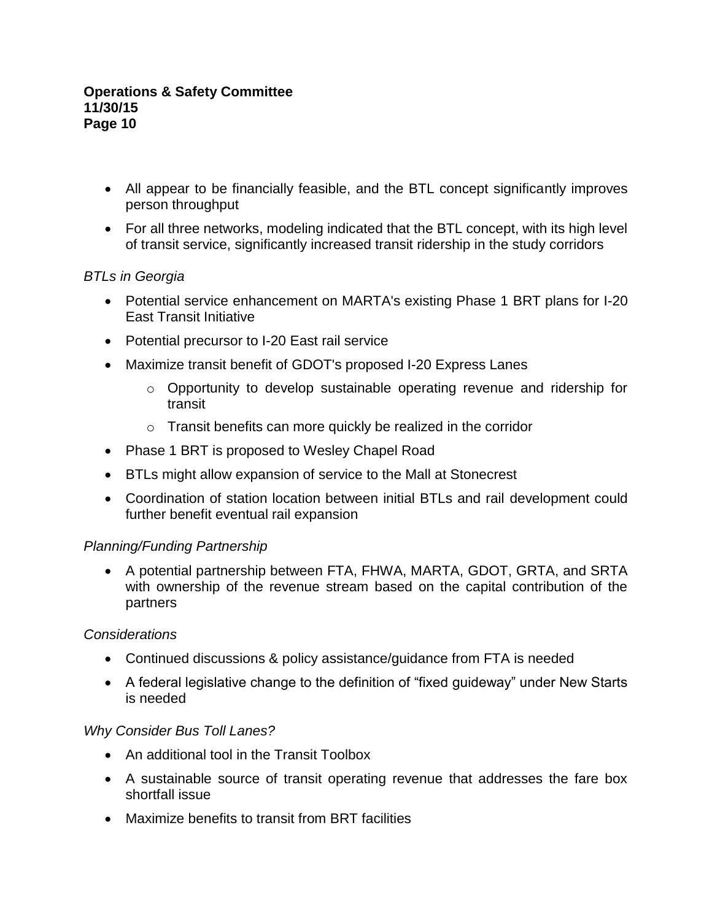- All appear to be financially feasible, and the BTL concept significantly improves person throughput
- For all three networks, modeling indicated that the BTL concept, with its high level of transit service, significantly increased transit ridership in the study corridors

# *BTLs in Georgia*

- Potential service enhancement on MARTA's existing Phase 1 BRT plans for I-20 East Transit Initiative
- Potential precursor to I-20 East rail service
- Maximize transit benefit of GDOT's proposed I-20 Express Lanes
	- o Opportunity to develop sustainable operating revenue and ridership for transit
	- o Transit benefits can more quickly be realized in the corridor
- Phase 1 BRT is proposed to Wesley Chapel Road
- BTLs might allow expansion of service to the Mall at Stonecrest
- Coordination of station location between initial BTLs and rail development could further benefit eventual rail expansion

### *Planning/Funding Partnership*

 A potential partnership between FTA, FHWA, MARTA, GDOT, GRTA, and SRTA with ownership of the revenue stream based on the capital contribution of the partners

### *Considerations*

- Continued discussions & policy assistance/guidance from FTA is needed
- A federal legislative change to the definition of "fixed guideway" under New Starts is needed

### *Why Consider Bus Toll Lanes?*

- An additional tool in the Transit Toolbox
- A sustainable source of transit operating revenue that addresses the fare box shortfall issue
- Maximize benefits to transit from BRT facilities